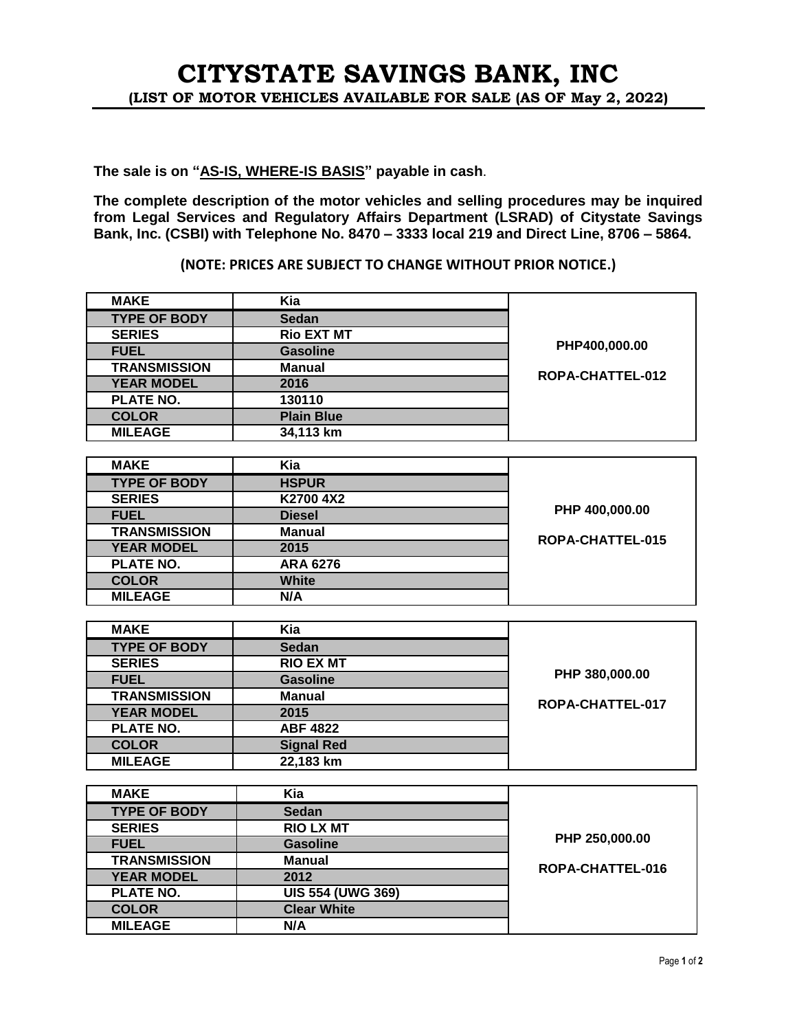## **The sale is on "AS-IS, WHERE-IS BASIS" payable in cash**.

**The complete description of the motor vehicles and selling procedures may be inquired from Legal Services and Regulatory Affairs Department (LSRAD) of Citystate Savings Bank, Inc. (CSBI) with Telephone No. 8470 – 3333 local 219 and Direct Line, 8706 – 5864.** 

## **(NOTE: PRICES ARE SUBJECT TO CHANGE WITHOUT PRIOR NOTICE.)**

| <b>MAKE</b>         | Kia               |                  |
|---------------------|-------------------|------------------|
| <b>TYPE OF BODY</b> | <b>Sedan</b>      |                  |
| <b>SERIES</b>       | <b>Rio EXT MT</b> |                  |
| <b>FUEL</b>         | <b>Gasoline</b>   | PHP400,000.00    |
| <b>TRANSMISSION</b> | <b>Manual</b>     |                  |
| <b>YEAR MODEL</b>   | 2016              | ROPA-CHATTEL-012 |
| <b>PLATE NO.</b>    | 130110            |                  |
| <b>COLOR</b>        | <b>Plain Blue</b> |                  |
| <b>MILEAGE</b>      | 34,113 km         |                  |
|                     |                   |                  |
| <b>MAKE</b>         | Kia               |                  |
| <b>TYPE OF BODY</b> | <b>HSPUR</b>      |                  |
| <b>SERIES</b>       | K2700 4X2         |                  |
| <b>FUEL</b>         | <b>Diesel</b>     | PHP 400,000.00   |
| <b>TRANSMISSION</b> | <b>Manual</b>     | ROPA-CHATTEL-015 |
| <b>YEAR MODEL</b>   | 2015              |                  |
| <b>PLATE NO.</b>    | <b>ARA 6276</b>   |                  |
| <b>COLOR</b>        | <b>White</b>      |                  |
| <b>MILEAGE</b>      | N/A               |                  |
|                     |                   |                  |
| <b>MAKE</b>         | Kia               |                  |
| <b>TYPE OF BODY</b> | <b>Sedan</b>      |                  |
| <b>SERIES</b>       | <b>RIO EX MT</b>  |                  |
| <b>FUEL</b>         | <b>Gasoline</b>   | PHP 380,000.00   |
| <b>TRANSMISSION</b> | <b>Manual</b>     | ROPA-CHATTEL-017 |
| <b>YEAR MODEL</b>   | 2015              |                  |
| <b>PLATE NO.</b>    | <b>ABF 4822</b>   |                  |
| <b>COLOR</b>        | <b>Signal Red</b> |                  |
| <b>MILEAGE</b>      | 22,183 km         |                  |
|                     |                   |                  |
| <b>MAKE</b>         | Kia               |                  |
| <b>TYPE OF BODY</b> | <b>Sedan</b>      |                  |

| <b>IVIANC</b>       | Nid                      |                  |
|---------------------|--------------------------|------------------|
| <b>TYPE OF BODY</b> | <b>Sedan</b>             |                  |
| <b>SERIES</b>       | <b>RIO LX MT</b>         |                  |
| <b>FUEL</b>         | <b>Gasoline</b>          | PHP 250,000.00   |
| <b>TRANSMISSION</b> | <b>Manual</b>            | ROPA-CHATTEL-016 |
| <b>YEAR MODEL</b>   | 2012                     |                  |
| <b>PLATE NO.</b>    | <b>UIS 554 (UWG 369)</b> |                  |
| <b>COLOR</b>        | <b>Clear White</b>       |                  |
| <b>MILEAGE</b>      | N/A                      |                  |
|                     |                          |                  |